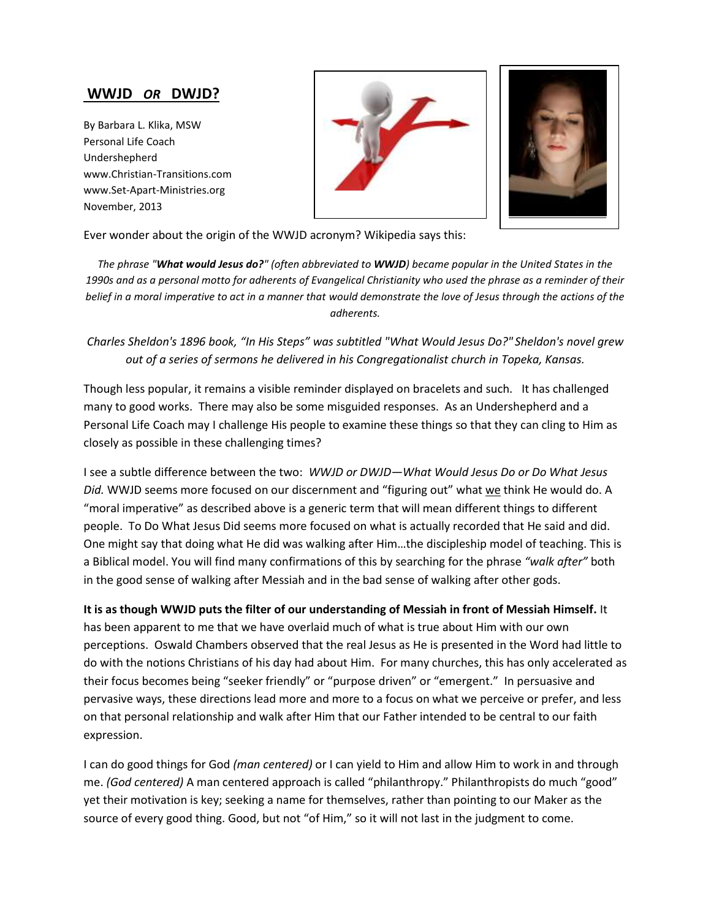## **WWJD** *OR* **DWJD?**

By Barbara L. Klika, MSW Personal Life Coach Undershepherd www.Christian-Transitions.com www.Set-Apart-Ministries.org November, 2013





Ever wonder about the origin of the WWJD acronym? Wikipedia says this:

*The phrase "What would Jesus do?" (often abbreviated to WWJD) became popular in the United States in the 1990s and as a personal motto for adherents of Evangelical Christianity who used the phrase as a reminder of their belief in a moral imperative to act in a manner that would demonstrate the love of Jesus through the actions of the adherents.*

*Charles Sheldon's 1896 book, "In His Steps" was subtitled "What Would Jesus Do?" Sheldon's novel grew out of a series of sermons he delivered in his Congregationalist church in Topeka, Kansas.*

Though less popular, it remains a visible reminder displayed on bracelets and such. It has challenged many to good works. There may also be some misguided responses. As an Undershepherd and a Personal Life Coach may I challenge His people to examine these things so that they can cling to Him as closely as possible in these challenging times?

I see a subtle difference between the two: *WWJD or DWJD—What Would Jesus Do or Do What Jesus*  Did. WWJD seems more focused on our discernment and "figuring out" what we think He would do. A "moral imperative" as described above is a generic term that will mean different things to different people. To Do What Jesus Did seems more focused on what is actually recorded that He said and did. One might say that doing what He did was walking after Him…the discipleship model of teaching. This is a Biblical model. You will find many confirmations of this by searching for the phrase *"walk after"* both in the good sense of walking after Messiah and in the bad sense of walking after other gods.

**It is as though WWJD puts the filter of our understanding of Messiah in front of Messiah Himself.** It has been apparent to me that we have overlaid much of what is true about Him with our own perceptions. Oswald Chambers observed that the real Jesus as He is presented in the Word had little to do with the notions Christians of his day had about Him. For many churches, this has only accelerated as their focus becomes being "seeker friendly" or "purpose driven" or "emergent." In persuasive and pervasive ways, these directions lead more and more to a focus on what we perceive or prefer, and less on that personal relationship and walk after Him that our Father intended to be central to our faith expression.

I can do good things for God *(man centered)* or I can yield to Him and allow Him to work in and through me. *(God centered)* A man centered approach is called "philanthropy." Philanthropists do much "good" yet their motivation is key; seeking a name for themselves, rather than pointing to our Maker as the source of every good thing. Good, but not "of Him," so it will not last in the judgment to come.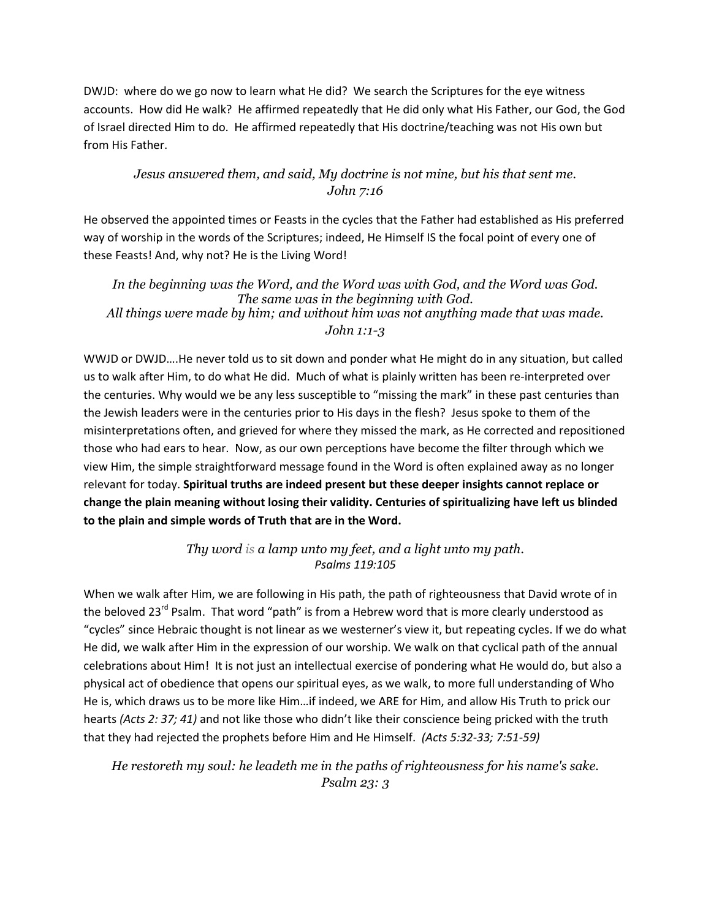DWJD: where do we go now to learn what He did? We search the Scriptures for the eye witness accounts. How did He walk? He affirmed repeatedly that He did only what His Father, our God, the God of Israel directed Him to do. He affirmed repeatedly that His doctrine/teaching was not His own but from His Father.

## *Jesus answered them, and said, My doctrine is not mine, but his that sent me. John 7:16*

He observed the appointed times or Feasts in the cycles that the Father had established as His preferred way of worship in the words of the Scriptures; indeed, He Himself IS the focal point of every one of these Feasts! And, why not? He is the Living Word!

*In the beginning was the Word, and the Word was with God, and the Word was God. The same was in the beginning with God. All things were made by him; and without him was not anything made that was made. John 1:1-3*

WWJD or DWJD….He never told us to sit down and ponder what He might do in any situation, but called us to walk after Him, to do what He did. Much of what is plainly written has been re-interpreted over the centuries. Why would we be any less susceptible to "missing the mark" in these past centuries than the Jewish leaders were in the centuries prior to His days in the flesh? Jesus spoke to them of the misinterpretations often, and grieved for where they missed the mark, as He corrected and repositioned those who had ears to hear. Now, as our own perceptions have become the filter through which we view Him, the simple straightforward message found in the Word is often explained away as no longer relevant for today. **Spiritual truths are indeed present but these deeper insights cannot replace or change the plain meaning without losing their validity. Centuries of spiritualizing have left us blinded to the plain and simple words of Truth that are in the Word.**

> *Thy word is a lamp unto my feet, and a light unto my path. Psalms 119:105*

When we walk after Him, we are following in His path, the path of righteousness that David wrote of in the beloved  $23^{rd}$  Psalm. That word "path" is from a Hebrew word that is more clearly understood as "cycles" since Hebraic thought is not linear as we westerner's view it, but repeating cycles. If we do what He did, we walk after Him in the expression of our worship. We walk on that cyclical path of the annual celebrations about Him! It is not just an intellectual exercise of pondering what He would do, but also a physical act of obedience that opens our spiritual eyes, as we walk, to more full understanding of Who He is, which draws us to be more like Him…if indeed, we ARE for Him, and allow His Truth to prick our hearts *(Acts 2: 37; 41)* and not like those who didn't like their conscience being pricked with the truth that they had rejected the prophets before Him and He Himself. *(Acts 5:32-33; 7:51-59)*

*He restoreth my soul: he leadeth me in the paths of righteousness for his name's sake. Psalm 23: 3*